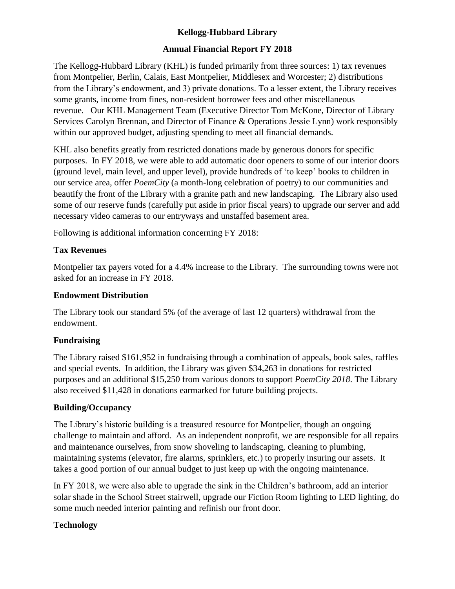# **Kellogg-Hubbard Library**

# **Annual Financial Report FY 2018**

The Kellogg-Hubbard Library (KHL) is funded primarily from three sources: 1) tax revenues from Montpelier, Berlin, Calais, East Montpelier, Middlesex and Worcester; 2) distributions from the Library's endowment, and 3) private donations. To a lesser extent, the Library receives some grants, income from fines, non-resident borrower fees and other miscellaneous revenue. Our KHL Management Team (Executive Director Tom McKone, Director of Library Services Carolyn Brennan, and Director of Finance & Operations Jessie Lynn) work responsibly within our approved budget, adjusting spending to meet all financial demands.

KHL also benefits greatly from restricted donations made by generous donors for specific purposes. In FY 2018, we were able to add automatic door openers to some of our interior doors (ground level, main level, and upper level), provide hundreds of 'to keep' books to children in our service area, offer *PoemCity* (a month-long celebration of poetry) to our communities and beautify the front of the Library with a granite path and new landscaping. The Library also used some of our reserve funds (carefully put aside in prior fiscal years) to upgrade our server and add necessary video cameras to our entryways and unstaffed basement area.

Following is additional information concerning FY 2018:

## **Tax Revenues**

Montpelier tax payers voted for a 4.4% increase to the Library. The surrounding towns were not asked for an increase in FY 2018.

#### **Endowment Distribution**

The Library took our standard 5% (of the average of last 12 quarters) withdrawal from the endowment.

# **Fundraising**

The Library raised \$161,952 in fundraising through a combination of appeals, book sales, raffles and special events. In addition, the Library was given \$34,263 in donations for restricted purposes and an additional \$15,250 from various donors to support *PoemCity 2018*. The Library also received \$11,428 in donations earmarked for future building projects.

#### **Building/Occupancy**

The Library's historic building is a treasured resource for Montpelier, though an ongoing challenge to maintain and afford. As an independent nonprofit, we are responsible for all repairs and maintenance ourselves, from snow shoveling to landscaping, cleaning to plumbing, maintaining systems (elevator, fire alarms, sprinklers, etc.) to properly insuring our assets. It takes a good portion of our annual budget to just keep up with the ongoing maintenance.

In FY 2018, we were also able to upgrade the sink in the Children's bathroom, add an interior solar shade in the School Street stairwell, upgrade our Fiction Room lighting to LED lighting, do some much needed interior painting and refinish our front door.

# **Technology**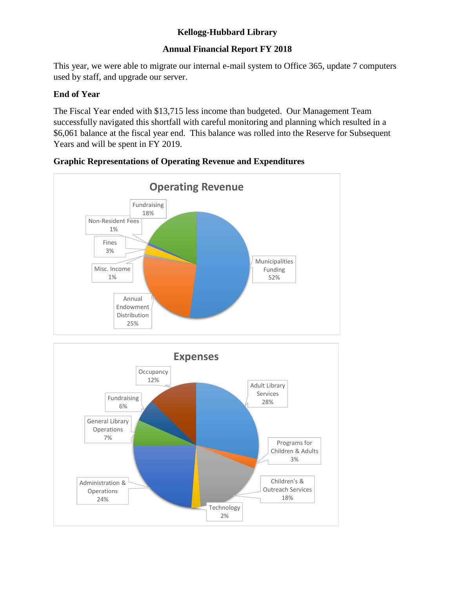# **Kellogg-Hubbard Library**

# **Annual Financial Report FY 2018**

This year, we were able to migrate our internal e-mail system to Office 365, update 7 computers used by staff, and upgrade our server.

### **End of Year**

The Fiscal Year ended with \$13,715 less income than budgeted. Our Management Team successfully navigated this shortfall with careful monitoring and planning which resulted in a \$6,061 balance at the fiscal year end. This balance was rolled into the Reserve for Subsequent Years and will be spent in FY 2019.



## **Graphic Representations of Operating Revenue and Expenditures**